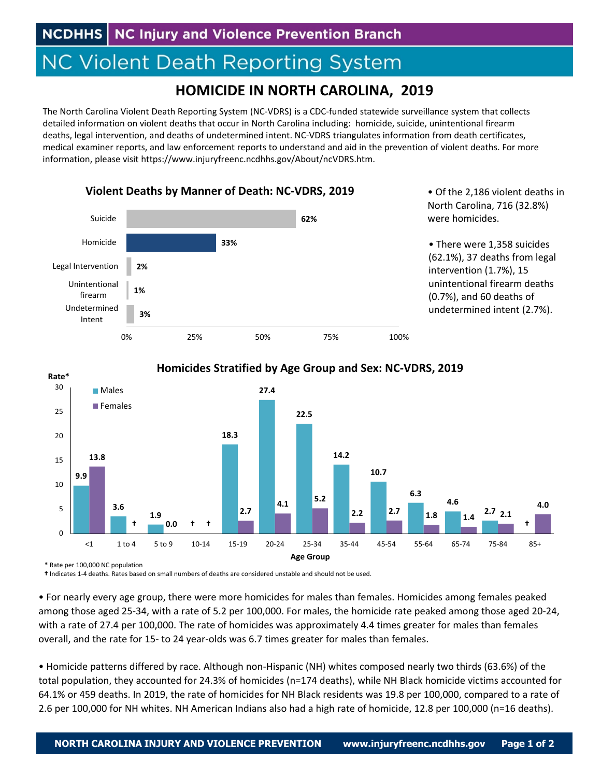## **NC Violent Death Reporting System**

**Violent Deaths by Manner of Death: NC‐VDRS, 2019**

## **HOMICIDE IN NORTH CAROLINA, 2019**

The North Carolina Violent Death Reporting System (NC‐VDRS) is a CDC‐funded statewide surveillance system that collects detailed information on violent deaths that occur in North Carolina including: homicide, suicide, unintentional firearm deaths, legal intervention, and deaths of undetermined intent. NC‐VDRS triangulates information from death certificates, medical examiner reports, and law enforcement reports to understand and aid in the prevention of violent deaths. For more information, please visit https://www.injuryfreenc.ncdhhs.gov/About/ncVDRS.htm.



• Of the 2,186 violent deaths in North Carolina, 716 (32.8%)

• There were 1,358 suicides (62.1%), 37 deaths from legal intervention (1.7%), 15 unintentional firearm deaths (0.7%), and 60 deaths of undetermined intent (2.7%).



## **Homicides Stratified by Age Group and Sex: NC‐VDRS, 2019**

\* Rate per 100,000 NC population

**†** Indicates 1‐4 deaths. Rates based on small numbers of deaths are considered unstable and should not be used.

• For nearly every age group, there were more homicides for males than females. Homicides among females peaked among those aged 25‐34, with a rate of 5.2 per 100,000. For males, the homicide rate peaked among those aged 20‐24, with a rate of 27.4 per 100,000. The rate of homicides was approximately 4.4 times greater for males than females overall, and the rate for 15‐ to 24 year‐olds was 6.7 times greater for males than females.

• Homicide patterns differed by race. Although non‐Hispanic (NH) whites composed nearly two thirds (63.6%) of the total population, they accounted for 24.3% of homicides (n=174 deaths), while NH Black homicide victims accounted for 64.1% or 459 deaths. In 2019, the rate of homicides for NH Black residents was 19.8 per 100,000, compared to a rate of 2.6 per 100,000 for NH whites. NH American Indians also had a high rate of homicide, 12.8 per 100,000 (n=16 deaths).